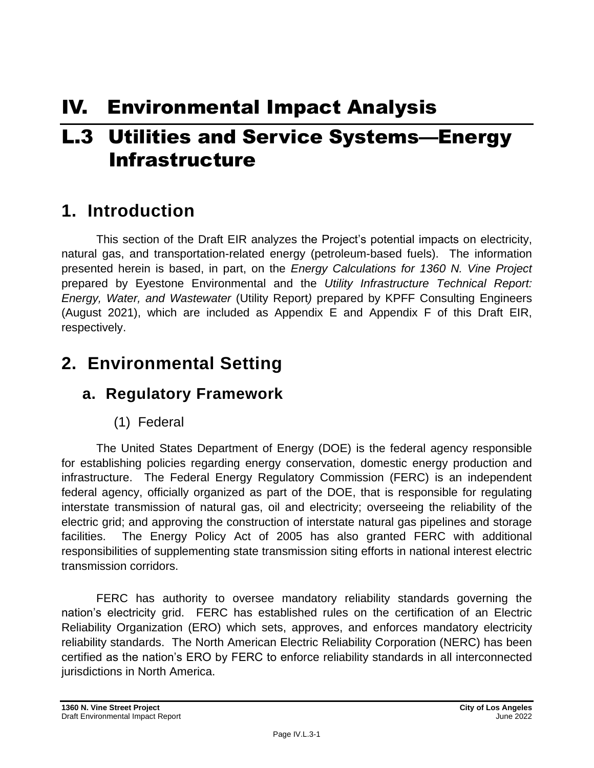# IV. Environmental Impact Analysis

# L.3 Utilities and Service Systems—Energy Infrastructure

# **1. Introduction**

This section of the Draft EIR analyzes the Project's potential impacts on electricity, natural gas, and transportation-related energy (petroleum-based fuels). The information presented herein is based, in part, on the *Energy Calculations for 1360 N. Vine Project*  prepared by Eyestone Environmental and the *Utility Infrastructure Technical Report: Energy, Water, and Wastewater* (Utility Report*)* prepared by KPFF Consulting Engineers (August 2021), which are included as Appendix E and Appendix F of this Draft EIR, respectively.

# **2. Environmental Setting**

# **a. Regulatory Framework**

## (1) Federal

The United States Department of Energy (DOE) is the federal agency responsible for establishing policies regarding energy conservation, domestic energy production and infrastructure. The Federal Energy Regulatory Commission (FERC) is an independent federal agency, officially organized as part of the DOE, that is responsible for regulating interstate transmission of natural gas, oil and electricity; overseeing the reliability of the electric grid; and approving the construction of interstate natural gas pipelines and storage facilities. The Energy Policy Act of 2005 has also granted FERC with additional responsibilities of supplementing state transmission siting efforts in national interest electric transmission corridors.

FERC has authority to oversee mandatory reliability standards governing the nation's electricity grid. FERC has established rules on the certification of an Electric Reliability Organization (ERO) which sets, approves, and enforces mandatory electricity reliability standards. The North American Electric Reliability Corporation (NERC) has been certified as the nation's ERO by FERC to enforce reliability standards in all interconnected jurisdictions in North America.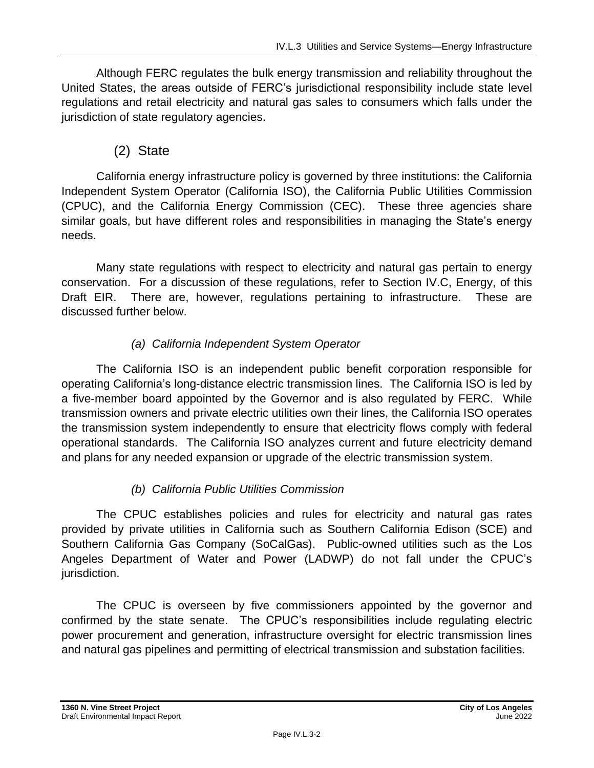Although FERC regulates the bulk energy transmission and reliability throughout the United States, the areas outside of FERC's jurisdictional responsibility include state level regulations and retail electricity and natural gas sales to consumers which falls under the jurisdiction of state regulatory agencies.

## (2) State

California energy infrastructure policy is governed by three institutions: the California Independent System Operator (California ISO), the California Public Utilities Commission (CPUC), and the California Energy Commission (CEC). These three agencies share similar goals, but have different roles and responsibilities in managing the State's energy needs.

Many state regulations with respect to electricity and natural gas pertain to energy conservation. For a discussion of these regulations, refer to Section IV.C, Energy, of this Draft EIR. There are, however, regulations pertaining to infrastructure. These are discussed further below.

## *(a) California Independent System Operator*

The California ISO is an independent public benefit corporation responsible for operating California's long-distance electric transmission lines. The California ISO is led by a five-member board appointed by the Governor and is also regulated by FERC. While transmission owners and private electric utilities own their lines, the California ISO operates the transmission system independently to ensure that electricity flows comply with federal operational standards. The California ISO analyzes current and future electricity demand and plans for any needed expansion or upgrade of the electric transmission system.

### *(b) California Public Utilities Commission*

The CPUC establishes policies and rules for electricity and natural gas rates provided by private utilities in California such as Southern California Edison (SCE) and Southern California Gas Company (SoCalGas). Public-owned utilities such as the Los Angeles Department of Water and Power (LADWP) do not fall under the CPUC's jurisdiction.

The CPUC is overseen by five commissioners appointed by the governor and confirmed by the state senate. The CPUC's responsibilities include regulating electric power procurement and generation, infrastructure oversight for electric transmission lines and natural gas pipelines and permitting of electrical transmission and substation facilities.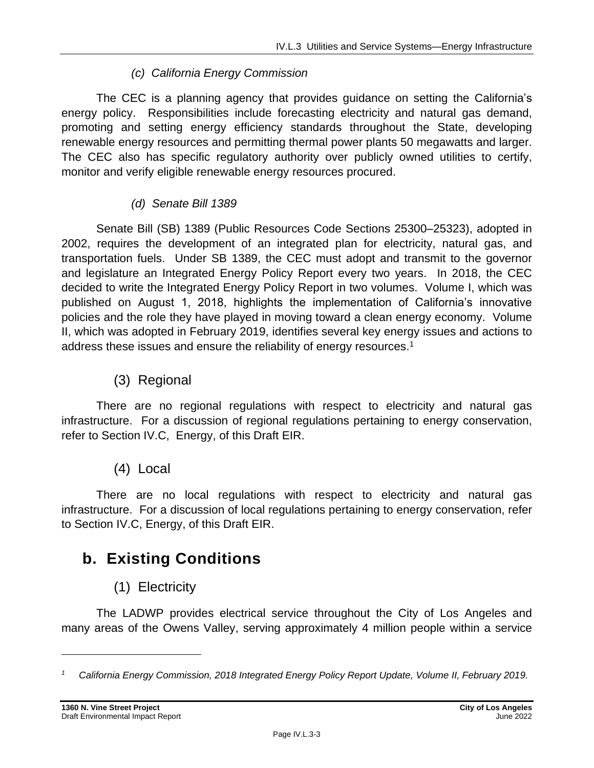#### *(c) California Energy Commission*

The CEC is a planning agency that provides guidance on setting the California's energy policy. Responsibilities include forecasting electricity and natural gas demand, promoting and setting energy efficiency standards throughout the State, developing renewable energy resources and permitting thermal power plants 50 megawatts and larger. The CEC also has specific regulatory authority over publicly owned utilities to certify, monitor and verify eligible renewable energy resources procured.

#### *(d) Senate Bill 1389*

Senate Bill (SB) 1389 (Public Resources Code Sections 25300–25323), adopted in 2002, requires the development of an integrated plan for electricity, natural gas, and transportation fuels. Under SB 1389, the CEC must adopt and transmit to the governor and legislature an Integrated Energy Policy Report every two years. In 2018, the CEC decided to write the Integrated Energy Policy Report in two volumes. Volume I, which was published on August 1, 2018, highlights the implementation of California's innovative policies and the role they have played in moving toward a clean energy economy. Volume II, which was adopted in February 2019, identifies several key energy issues and actions to address these issues and ensure the reliability of energy resources.<sup>1</sup>

(3) Regional

There are no regional regulations with respect to electricity and natural gas infrastructure. For a discussion of regional regulations pertaining to energy conservation, refer to Section IV.C, Energy, of this Draft EIR.

(4) Local

There are no local regulations with respect to electricity and natural gas infrastructure. For a discussion of local regulations pertaining to energy conservation, refer to Section IV.C, Energy, of this Draft EIR.

# **b. Existing Conditions**

## (1) Electricity

The LADWP provides electrical service throughout the City of Los Angeles and many areas of the Owens Valley, serving approximately 4 million people within a service

*<sup>1</sup> California Energy Commission, 2018 Integrated Energy Policy Report Update, Volume II, February 2019.*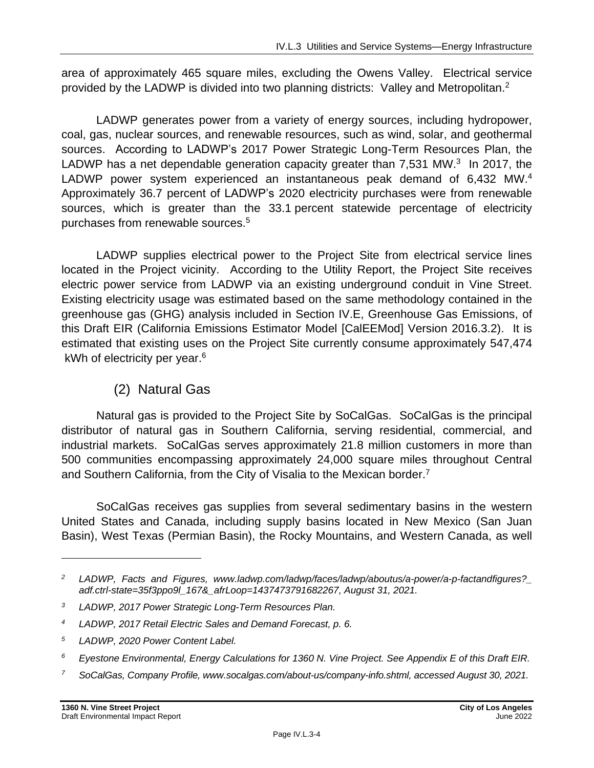area of approximately 465 square miles, excluding the Owens Valley. Electrical service provided by the LADWP is divided into two planning districts: Valley and Metropolitan.<sup>2</sup>

LADWP generates power from a variety of energy sources, including hydropower, coal, gas, nuclear sources, and renewable resources, such as wind, solar, and geothermal sources. According to LADWP's 2017 Power Strategic Long-Term Resources Plan, the LADWP has a net dependable generation capacity greater than 7,531 MW.<sup>3</sup> In 2017, the LADWP power system experienced an instantaneous peak demand of 6,432 MW.<sup>4</sup> Approximately 36.7 percent of LADWP's 2020 electricity purchases were from renewable sources, which is greater than the 33.1 percent statewide percentage of electricity purchases from renewable sources. 5

LADWP supplies electrical power to the Project Site from electrical service lines located in the Project vicinity. According to the Utility Report, the Project Site receives electric power service from LADWP via an existing underground conduit in Vine Street. Existing electricity usage was estimated based on the same methodology contained in the greenhouse gas (GHG) analysis included in Section IV.E, Greenhouse Gas Emissions, of this Draft EIR (California Emissions Estimator Model [CalEEMod] Version 2016.3.2). It is estimated that existing uses on the Project Site currently consume approximately 547,474 kWh of electricity per year.<sup>6</sup>

## (2) Natural Gas

Natural gas is provided to the Project Site by SoCalGas. SoCalGas is the principal distributor of natural gas in Southern California, serving residential, commercial, and industrial markets. SoCalGas serves approximately 21.8 million customers in more than 500 communities encompassing approximately 24,000 square miles throughout Central and Southern California, from the City of Visalia to the Mexican border.<sup>7</sup>

SoCalGas receives gas supplies from several sedimentary basins in the western United States and Canada, including supply basins located in New Mexico (San Juan Basin), West Texas (Permian Basin), the Rocky Mountains, and Western Canada, as well

*<sup>5</sup> LADWP, 2020 Power Content Label.*

*<sup>7</sup> SoCalGas, Company Profile, www.socalgas.com/about-us/company-info.shtml, accessed August 30, 2021.*

*<sup>2</sup> LADWP, Facts and Figures, www.ladwp.com/ladwp/faces/ladwp/aboutus/a-power/a-p-factandfigures?\_ adf.ctrl-state=35f3ppo9l\_167&\_afrLoop=1437473791682267, August 31, 2021.*

*<sup>3</sup> LADWP, 2017 Power Strategic Long-Term Resources Plan.*

*<sup>4</sup> LADWP, 2017 Retail Electric Sales and Demand Forecast, p. 6.*

*<sup>6</sup> Eyestone Environmental, Energy Calculations for 1360 N. Vine Project. See Appendix E of this Draft EIR.*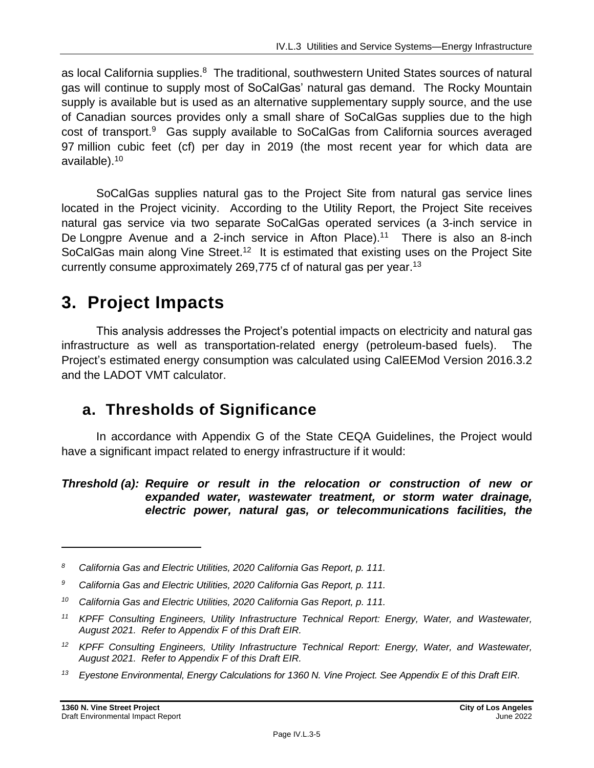as local California supplies.<sup>8</sup> The traditional, southwestern United States sources of natural gas will continue to supply most of SoCalGas' natural gas demand. The Rocky Mountain supply is available but is used as an alternative supplementary supply source, and the use of Canadian sources provides only a small share of SoCalGas supplies due to the high cost of transport.<sup>9</sup> Gas supply available to SoCalGas from California sources averaged 97 million cubic feet (cf) per day in 2019 (the most recent year for which data are available). 10

SoCalGas supplies natural gas to the Project Site from natural gas service lines located in the Project vicinity. According to the Utility Report, the Project Site receives natural gas service via two separate SoCalGas operated services (a 3-inch service in De Longpre Avenue and a 2-inch service in Afton Place).<sup>11</sup> There is also an 8-inch SoCalGas main along Vine Street.<sup>12</sup> It is estimated that existing uses on the Project Site currently consume approximately 269,775 cf of natural gas per year.<sup>13</sup>

# **3. Project Impacts**

This analysis addresses the Project's potential impacts on electricity and natural gas infrastructure as well as transportation-related energy (petroleum-based fuels). The Project's estimated energy consumption was calculated using CalEEMod Version 2016.3.2 and the LADOT VMT calculator.

# **a. Thresholds of Significance**

In accordance with Appendix G of the State CEQA Guidelines, the Project would have a significant impact related to energy infrastructure if it would:

#### *Threshold (a): Require or result in the relocation or construction of new or expanded water, wastewater treatment, or storm water drainage, electric power, natural gas, or telecommunications facilities, the*

*<sup>8</sup> California Gas and Electric Utilities, 2020 California Gas Report, p. 111.*

*<sup>9</sup> California Gas and Electric Utilities, 2020 California Gas Report, p. 111.*

*<sup>10</sup> California Gas and Electric Utilities, 2020 California Gas Report, p. 111.*

*<sup>11</sup> KPFF Consulting Engineers, Utility Infrastructure Technical Report: Energy, Water, and Wastewater, August 2021. Refer to Appendix F of this Draft EIR.*

*<sup>12</sup> KPFF Consulting Engineers, Utility Infrastructure Technical Report: Energy, Water, and Wastewater, August 2021. Refer to Appendix F of this Draft EIR.*

*<sup>13</sup> Eyestone Environmental, Energy Calculations for 1360 N. Vine Project. See Appendix E of this Draft EIR.*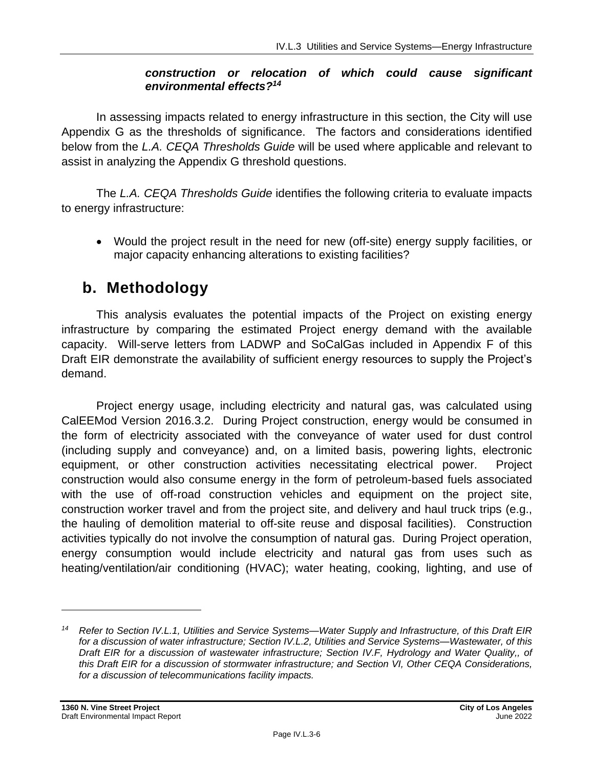#### *construction or relocation of which could cause significant environmental effects?<sup>14</sup>*

In assessing impacts related to energy infrastructure in this section, the City will use Appendix G as the thresholds of significance. The factors and considerations identified below from the *L.A. CEQA Thresholds Guide* will be used where applicable and relevant to assist in analyzing the Appendix G threshold questions.

The *L.A. CEQA Thresholds Guide* identifies the following criteria to evaluate impacts to energy infrastructure:

• Would the project result in the need for new (off-site) energy supply facilities, or major capacity enhancing alterations to existing facilities?

# **b. Methodology**

This analysis evaluates the potential impacts of the Project on existing energy infrastructure by comparing the estimated Project energy demand with the available capacity. Will-serve letters from LADWP and SoCalGas included in Appendix F of this Draft EIR demonstrate the availability of sufficient energy resources to supply the Project's demand.

Project energy usage, including electricity and natural gas, was calculated using CalEEMod Version 2016.3.2. During Project construction, energy would be consumed in the form of electricity associated with the conveyance of water used for dust control (including supply and conveyance) and, on a limited basis, powering lights, electronic equipment, or other construction activities necessitating electrical power. Project construction would also consume energy in the form of petroleum-based fuels associated with the use of off-road construction vehicles and equipment on the project site, construction worker travel and from the project site, and delivery and haul truck trips (e.g., the hauling of demolition material to off-site reuse and disposal facilities). Construction activities typically do not involve the consumption of natural gas. During Project operation, energy consumption would include electricity and natural gas from uses such as heating/ventilation/air conditioning (HVAC); water heating, cooking, lighting, and use of

*<sup>14</sup> Refer to Section IV.L.1, Utilities and Service Systems—Water Supply and Infrastructure, of this Draft EIR for a discussion of water infrastructure; Section IV.L.2, Utilities and Service Systems—Wastewater, of this Draft EIR for a discussion of wastewater infrastructure; Section IV.F, Hydrology and Water Quality,, of this Draft EIR for a discussion of stormwater infrastructure; and Section VI, Other CEQA Considerations, for a discussion of telecommunications facility impacts.*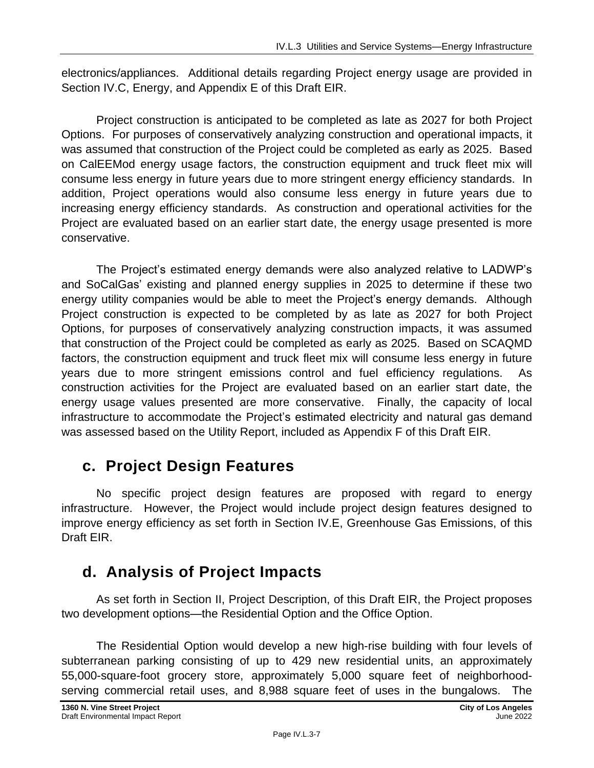electronics/appliances. Additional details regarding Project energy usage are provided in Section IV.C, Energy, and Appendix E of this Draft EIR.

Project construction is anticipated to be completed as late as 2027 for both Project Options. For purposes of conservatively analyzing construction and operational impacts, it was assumed that construction of the Project could be completed as early as 2025. Based on CalEEMod energy usage factors, the construction equipment and truck fleet mix will consume less energy in future years due to more stringent energy efficiency standards. In addition, Project operations would also consume less energy in future years due to increasing energy efficiency standards. As construction and operational activities for the Project are evaluated based on an earlier start date, the energy usage presented is more conservative.

The Project's estimated energy demands were also analyzed relative to LADWP's and SoCalGas' existing and planned energy supplies in 2025 to determine if these two energy utility companies would be able to meet the Project's energy demands. Although Project construction is expected to be completed by as late as 2027 for both Project Options, for purposes of conservatively analyzing construction impacts, it was assumed that construction of the Project could be completed as early as 2025. Based on SCAQMD factors, the construction equipment and truck fleet mix will consume less energy in future years due to more stringent emissions control and fuel efficiency regulations. As construction activities for the Project are evaluated based on an earlier start date, the energy usage values presented are more conservative. Finally, the capacity of local infrastructure to accommodate the Project's estimated electricity and natural gas demand was assessed based on the Utility Report, included as Appendix F of this Draft EIR.

# **c. Project Design Features**

No specific project design features are proposed with regard to energy infrastructure. However, the Project would include project design features designed to improve energy efficiency as set forth in Section IV.E, Greenhouse Gas Emissions, of this Draft EIR.

# **d. Analysis of Project Impacts**

As set forth in Section II, Project Description, of this Draft EIR, the Project proposes two development options—the Residential Option and the Office Option.

The Residential Option would develop a new high-rise building with four levels of subterranean parking consisting of up to 429 new residential units, an approximately 55,000-square-foot grocery store, approximately 5,000 square feet of neighborhoodserving commercial retail uses, and 8,988 square feet of uses in the bungalows. The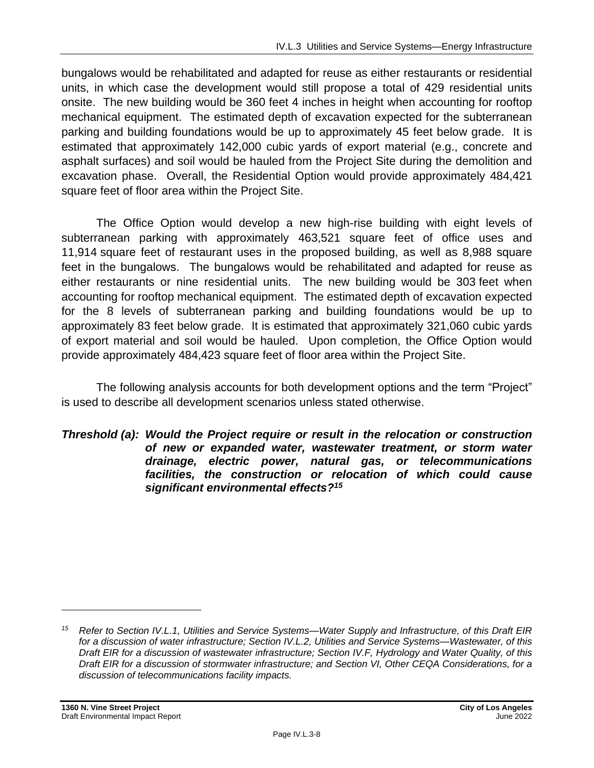bungalows would be rehabilitated and adapted for reuse as either restaurants or residential units, in which case the development would still propose a total of 429 residential units onsite. The new building would be 360 feet 4 inches in height when accounting for rooftop mechanical equipment. The estimated depth of excavation expected for the subterranean parking and building foundations would be up to approximately 45 feet below grade. It is estimated that approximately 142,000 cubic yards of export material (e.g., concrete and asphalt surfaces) and soil would be hauled from the Project Site during the demolition and excavation phase. Overall, the Residential Option would provide approximately 484,421 square feet of floor area within the Project Site.

The Office Option would develop a new high-rise building with eight levels of subterranean parking with approximately 463,521 square feet of office uses and 11,914 square feet of restaurant uses in the proposed building, as well as 8,988 square feet in the bungalows. The bungalows would be rehabilitated and adapted for reuse as either restaurants or nine residential units. The new building would be 303 feet when accounting for rooftop mechanical equipment. The estimated depth of excavation expected for the 8 levels of subterranean parking and building foundations would be up to approximately 83 feet below grade. It is estimated that approximately 321,060 cubic yards of export material and soil would be hauled. Upon completion, the Office Option would provide approximately 484,423 square feet of floor area within the Project Site.

The following analysis accounts for both development options and the term "Project" is used to describe all development scenarios unless stated otherwise.

*Threshold (a): Would the Project require or result in the relocation or construction of new or expanded water, wastewater treatment, or storm water drainage, electric power, natural gas, or telecommunications facilities, the construction or relocation of which could cause significant environmental effects?<sup>15</sup>*

*<sup>15</sup> Refer to Section IV.L.1, Utilities and Service Systems—Water Supply and Infrastructure, of this Draft EIR for a discussion of water infrastructure; Section IV.L.2, Utilities and Service Systems—Wastewater, of this Draft EIR for a discussion of wastewater infrastructure; Section IV.F, Hydrology and Water Quality, of this Draft EIR for a discussion of stormwater infrastructure; and Section VI, Other CEQA Considerations, for a discussion of telecommunications facility impacts.*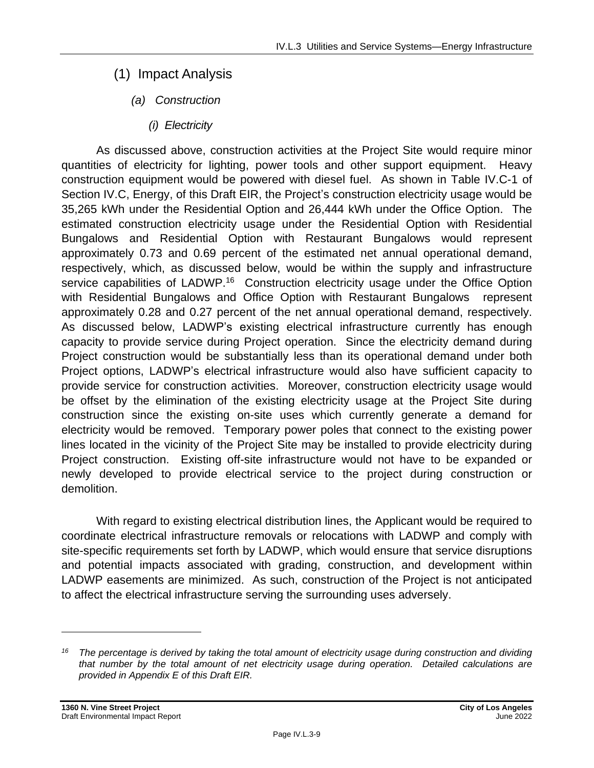- (1) Impact Analysis
	- *(a) Construction*
		- *(i) Electricity*

As discussed above, construction activities at the Project Site would require minor quantities of electricity for lighting, power tools and other support equipment. Heavy construction equipment would be powered with diesel fuel. As shown in Table IV.C-1 of Section IV.C, Energy, of this Draft EIR, the Project's construction electricity usage would be 35,265 kWh under the Residential Option and 26,444 kWh under the Office Option. The estimated construction electricity usage under the Residential Option with Residential Bungalows and Residential Option with Restaurant Bungalows would represent approximately 0.73 and 0.69 percent of the estimated net annual operational demand, respectively, which, as discussed below, would be within the supply and infrastructure service capabilities of LADWP.<sup>16</sup> Construction electricity usage under the Office Option with Residential Bungalows and Office Option with Restaurant Bungalows represent approximately 0.28 and 0.27 percent of the net annual operational demand, respectively. As discussed below, LADWP's existing electrical infrastructure currently has enough capacity to provide service during Project operation. Since the electricity demand during Project construction would be substantially less than its operational demand under both Project options, LADWP's electrical infrastructure would also have sufficient capacity to provide service for construction activities. Moreover, construction electricity usage would be offset by the elimination of the existing electricity usage at the Project Site during construction since the existing on-site uses which currently generate a demand for electricity would be removed. Temporary power poles that connect to the existing power lines located in the vicinity of the Project Site may be installed to provide electricity during Project construction. Existing off-site infrastructure would not have to be expanded or newly developed to provide electrical service to the project during construction or demolition.

With regard to existing electrical distribution lines, the Applicant would be required to coordinate electrical infrastructure removals or relocations with LADWP and comply with site-specific requirements set forth by LADWP, which would ensure that service disruptions and potential impacts associated with grading, construction, and development within LADWP easements are minimized. As such, construction of the Project is not anticipated to affect the electrical infrastructure serving the surrounding uses adversely.

*<sup>16</sup> The percentage is derived by taking the total amount of electricity usage during construction and dividing that number by the total amount of net electricity usage during operation. Detailed calculations are provided in Appendix E of this Draft EIR.*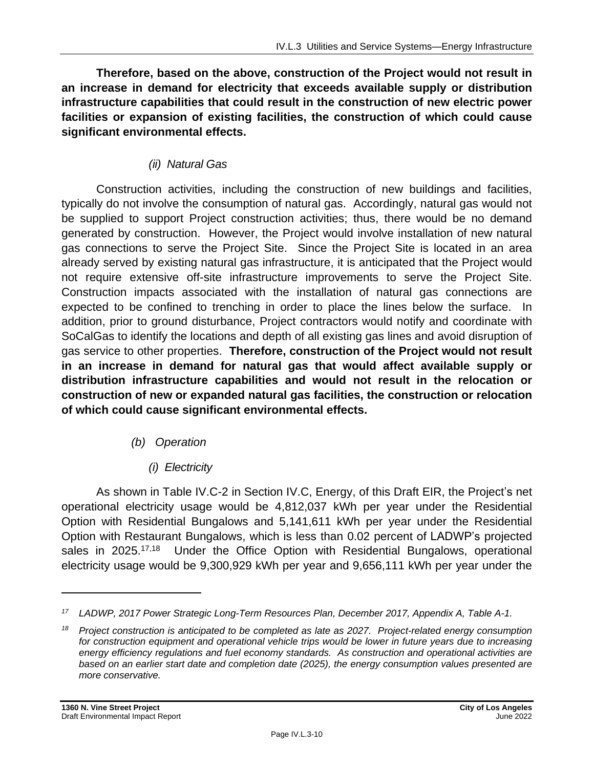**Therefore, based on the above, construction of the Project would not result in an increase in demand for electricity that exceeds available supply or distribution infrastructure capabilities that could result in the construction of new electric power facilities or expansion of existing facilities, the construction of which could cause significant environmental effects.**

#### *(ii) Natural Gas*

Construction activities, including the construction of new buildings and facilities, typically do not involve the consumption of natural gas. Accordingly, natural gas would not be supplied to support Project construction activities; thus, there would be no demand generated by construction. However, the Project would involve installation of new natural gas connections to serve the Project Site. Since the Project Site is located in an area already served by existing natural gas infrastructure, it is anticipated that the Project would not require extensive off-site infrastructure improvements to serve the Project Site. Construction impacts associated with the installation of natural gas connections are expected to be confined to trenching in order to place the lines below the surface. In addition, prior to ground disturbance, Project contractors would notify and coordinate with SoCalGas to identify the locations and depth of all existing gas lines and avoid disruption of gas service to other properties. **Therefore, construction of the Project would not result in an increase in demand for natural gas that would affect available supply or distribution infrastructure capabilities and would not result in the relocation or construction of new or expanded natural gas facilities, the construction or relocation of which could cause significant environmental effects.**

#### *(b) Operation*

*(i) Electricity*

As shown in Table IV.C-2 in Section IV.C, Energy, of this Draft EIR, the Project's net operational electricity usage would be 4,812,037 kWh per year under the Residential Option with Residential Bungalows and 5,141,611 kWh per year under the Residential Option with Restaurant Bungalows, which is less than 0.02 percent of LADWP's projected sales in 2025.<sup>17,18</sup> Under the Office Option with Residential Bungalows, operational electricity usage would be 9,300,929 kWh per year and 9,656,111 kWh per year under the

*<sup>17</sup> LADWP, 2017 Power Strategic Long-Term Resources Plan, December 2017, Appendix A, Table A-1.*

*<sup>18</sup> Project construction is anticipated to be completed as late as 2027. Project-related energy consumption for construction equipment and operational vehicle trips would be lower in future years due to increasing energy efficiency regulations and fuel economy standards. As construction and operational activities are based on an earlier start date and completion date (2025), the energy consumption values presented are more conservative.*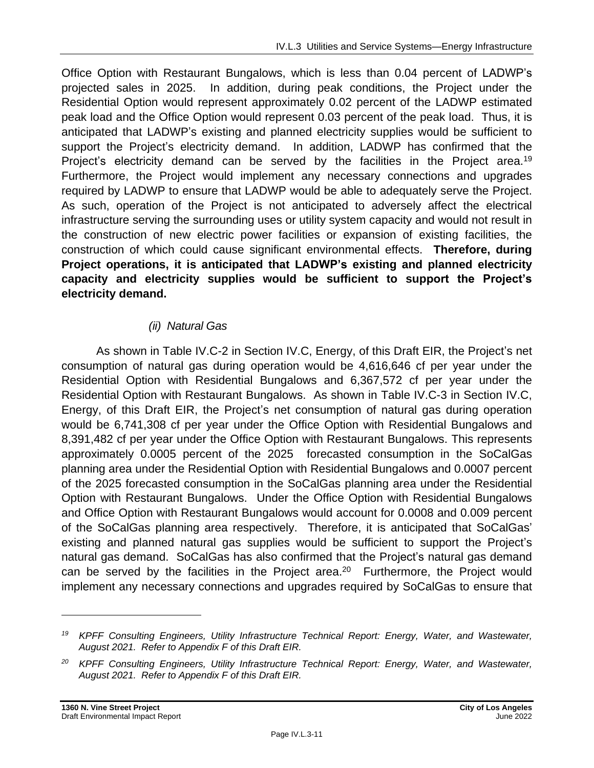Office Option with Restaurant Bungalows, which is less than 0.04 percent of LADWP's projected sales in 2025. In addition, during peak conditions, the Project under the Residential Option would represent approximately 0.02 percent of the LADWP estimated peak load and the Office Option would represent 0.03 percent of the peak load. Thus, it is anticipated that LADWP's existing and planned electricity supplies would be sufficient to support the Project's electricity demand. In addition, LADWP has confirmed that the Project's electricity demand can be served by the facilities in the Project area.<sup>19</sup> Furthermore, the Project would implement any necessary connections and upgrades required by LADWP to ensure that LADWP would be able to adequately serve the Project. As such, operation of the Project is not anticipated to adversely affect the electrical infrastructure serving the surrounding uses or utility system capacity and would not result in the construction of new electric power facilities or expansion of existing facilities, the construction of which could cause significant environmental effects. **Therefore, during Project operations, it is anticipated that LADWP's existing and planned electricity capacity and electricity supplies would be sufficient to support the Project's electricity demand.**

#### *(ii) Natural Gas*

As shown in Table IV.C-2 in Section IV.C, Energy, of this Draft EIR, the Project's net consumption of natural gas during operation would be 4,616,646 cf per year under the Residential Option with Residential Bungalows and 6,367,572 cf per year under the Residential Option with Restaurant Bungalows. As shown in Table IV.C-3 in Section IV.C, Energy, of this Draft EIR, the Project's net consumption of natural gas during operation would be 6,741,308 cf per year under the Office Option with Residential Bungalows and 8,391,482 cf per year under the Office Option with Restaurant Bungalows. This represents approximately 0.0005 percent of the 2025 forecasted consumption in the SoCalGas planning area under the Residential Option with Residential Bungalows and 0.0007 percent of the 2025 forecasted consumption in the SoCalGas planning area under the Residential Option with Restaurant Bungalows. Under the Office Option with Residential Bungalows and Office Option with Restaurant Bungalows would account for 0.0008 and 0.009 percent of the SoCalGas planning area respectively. Therefore, it is anticipated that SoCalGas' existing and planned natural gas supplies would be sufficient to support the Project's natural gas demand. SoCalGas has also confirmed that the Project's natural gas demand can be served by the facilities in the Project area.<sup>20</sup> Furthermore, the Project would implement any necessary connections and upgrades required by SoCalGas to ensure that

*<sup>19</sup> KPFF Consulting Engineers, Utility Infrastructure Technical Report: Energy, Water, and Wastewater, August 2021. Refer to Appendix F of this Draft EIR.*

*<sup>20</sup> KPFF Consulting Engineers, Utility Infrastructure Technical Report: Energy, Water, and Wastewater, August 2021. Refer to Appendix F of this Draft EIR.*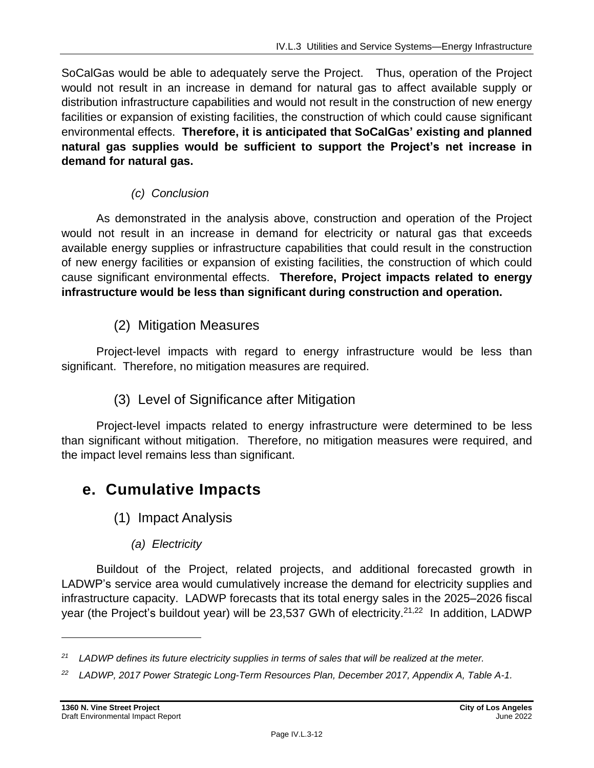SoCalGas would be able to adequately serve the Project. Thus, operation of the Project would not result in an increase in demand for natural gas to affect available supply or distribution infrastructure capabilities and would not result in the construction of new energy facilities or expansion of existing facilities, the construction of which could cause significant environmental effects. **Therefore, it is anticipated that SoCalGas' existing and planned natural gas supplies would be sufficient to support the Project's net increase in demand for natural gas.**

### *(c) Conclusion*

As demonstrated in the analysis above, construction and operation of the Project would not result in an increase in demand for electricity or natural gas that exceeds available energy supplies or infrastructure capabilities that could result in the construction of new energy facilities or expansion of existing facilities, the construction of which could cause significant environmental effects. **Therefore, Project impacts related to energy infrastructure would be less than significant during construction and operation.**

## (2) Mitigation Measures

Project-level impacts with regard to energy infrastructure would be less than significant. Therefore, no mitigation measures are required.

## (3) Level of Significance after Mitigation

Project-level impacts related to energy infrastructure were determined to be less than significant without mitigation. Therefore, no mitigation measures were required, and the impact level remains less than significant.

# **e. Cumulative Impacts**

- (1) Impact Analysis
	- *(a) Electricity*

Buildout of the Project, related projects, and additional forecasted growth in LADWP's service area would cumulatively increase the demand for electricity supplies and infrastructure capacity. LADWP forecasts that its total energy sales in the 2025–2026 fiscal year (the Project's buildout year) will be 23,537 GWh of electricity.<sup>21,22</sup> In addition, LADWP

*<sup>21</sup> LADWP defines its future electricity supplies in terms of sales that will be realized at the meter.*

*<sup>22</sup> LADWP, 2017 Power Strategic Long-Term Resources Plan, December 2017, Appendix A, Table A-1.*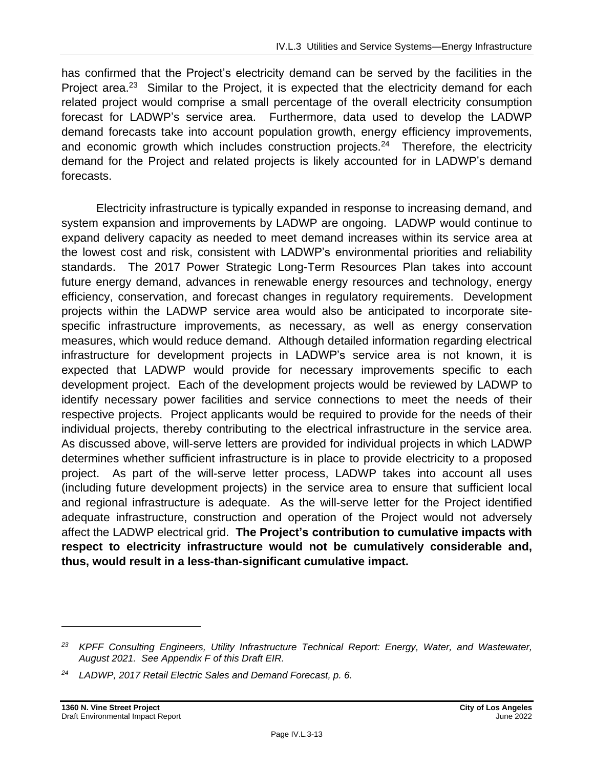has confirmed that the Project's electricity demand can be served by the facilities in the Project area.<sup>23</sup> Similar to the Project, it is expected that the electricity demand for each related project would comprise a small percentage of the overall electricity consumption forecast for LADWP's service area. Furthermore, data used to develop the LADWP demand forecasts take into account population growth, energy efficiency improvements, and economic growth which includes construction projects.<sup>24</sup> Therefore, the electricity demand for the Project and related projects is likely accounted for in LADWP's demand forecasts.

Electricity infrastructure is typically expanded in response to increasing demand, and system expansion and improvements by LADWP are ongoing. LADWP would continue to expand delivery capacity as needed to meet demand increases within its service area at the lowest cost and risk, consistent with LADWP's environmental priorities and reliability standards. The 2017 Power Strategic Long-Term Resources Plan takes into account future energy demand, advances in renewable energy resources and technology, energy efficiency, conservation, and forecast changes in regulatory requirements. Development projects within the LADWP service area would also be anticipated to incorporate sitespecific infrastructure improvements, as necessary, as well as energy conservation measures, which would reduce demand. Although detailed information regarding electrical infrastructure for development projects in LADWP's service area is not known, it is expected that LADWP would provide for necessary improvements specific to each development project. Each of the development projects would be reviewed by LADWP to identify necessary power facilities and service connections to meet the needs of their respective projects. Project applicants would be required to provide for the needs of their individual projects, thereby contributing to the electrical infrastructure in the service area. As discussed above, will-serve letters are provided for individual projects in which LADWP determines whether sufficient infrastructure is in place to provide electricity to a proposed project. As part of the will-serve letter process, LADWP takes into account all uses (including future development projects) in the service area to ensure that sufficient local and regional infrastructure is adequate. As the will-serve letter for the Project identified adequate infrastructure, construction and operation of the Project would not adversely affect the LADWP electrical grid. **The Project's contribution to cumulative impacts with respect to electricity infrastructure would not be cumulatively considerable and, thus, would result in a less-than-significant cumulative impact.**

*<sup>23</sup> KPFF Consulting Engineers, Utility Infrastructure Technical Report: Energy, Water, and Wastewater, August 2021. See Appendix F of this Draft EIR.*

*<sup>24</sup> LADWP, 2017 Retail Electric Sales and Demand Forecast, p. 6.*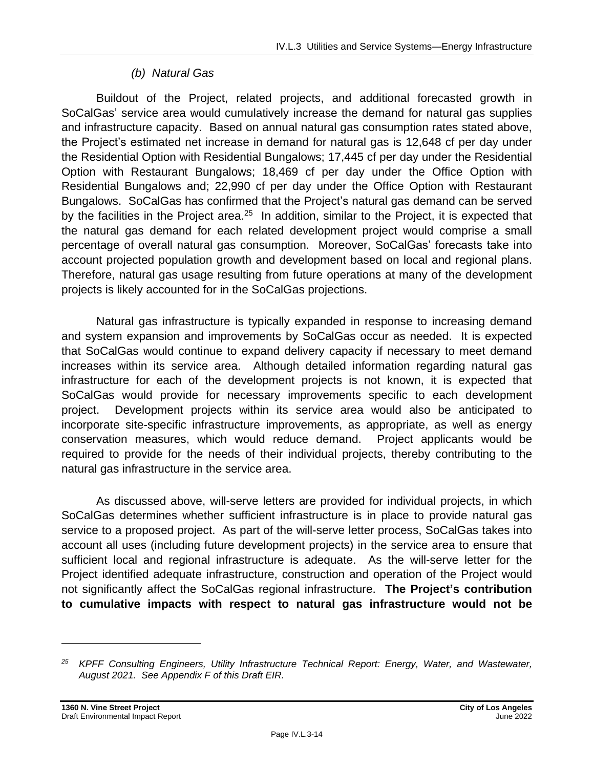#### *(b) Natural Gas*

Buildout of the Project, related projects, and additional forecasted growth in SoCalGas' service area would cumulatively increase the demand for natural gas supplies and infrastructure capacity. Based on annual natural gas consumption rates stated above, the Project's estimated net increase in demand for natural gas is 12,648 cf per day under the Residential Option with Residential Bungalows; 17,445 cf per day under the Residential Option with Restaurant Bungalows; 18,469 cf per day under the Office Option with Residential Bungalows and; 22,990 cf per day under the Office Option with Restaurant Bungalows. SoCalGas has confirmed that the Project's natural gas demand can be served by the facilities in the Project area.<sup>25</sup> In addition, similar to the Project, it is expected that the natural gas demand for each related development project would comprise a small percentage of overall natural gas consumption. Moreover, SoCalGas' forecasts take into account projected population growth and development based on local and regional plans. Therefore, natural gas usage resulting from future operations at many of the development projects is likely accounted for in the SoCalGas projections.

Natural gas infrastructure is typically expanded in response to increasing demand and system expansion and improvements by SoCalGas occur as needed. It is expected that SoCalGas would continue to expand delivery capacity if necessary to meet demand increases within its service area. Although detailed information regarding natural gas infrastructure for each of the development projects is not known, it is expected that SoCalGas would provide for necessary improvements specific to each development project. Development projects within its service area would also be anticipated to incorporate site-specific infrastructure improvements, as appropriate, as well as energy conservation measures, which would reduce demand. Project applicants would be required to provide for the needs of their individual projects, thereby contributing to the natural gas infrastructure in the service area.

As discussed above, will-serve letters are provided for individual projects, in which SoCalGas determines whether sufficient infrastructure is in place to provide natural gas service to a proposed project. As part of the will-serve letter process, SoCalGas takes into account all uses (including future development projects) in the service area to ensure that sufficient local and regional infrastructure is adequate. As the will-serve letter for the Project identified adequate infrastructure, construction and operation of the Project would not significantly affect the SoCalGas regional infrastructure. **The Project's contribution to cumulative impacts with respect to natural gas infrastructure would not be** 

*<sup>25</sup> KPFF Consulting Engineers, Utility Infrastructure Technical Report: Energy, Water, and Wastewater, August 2021. See Appendix F of this Draft EIR.*